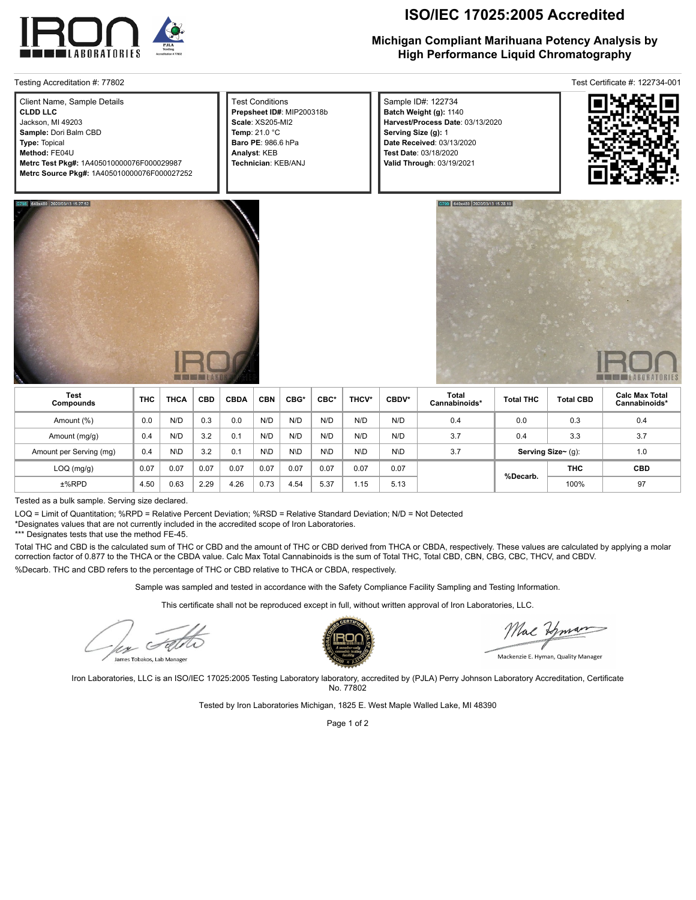

| Client Name, Sample Details                 | <b>Test Conditions</b>    |
|---------------------------------------------|---------------------------|
|                                             |                           |
| I CLDD LLC                                  | Prepsheet ID#: MIP200318b |
| Jackson, MI 49203                           | Scale: XS205-MI2          |
| Sample: Dori Balm CBD                       | Temp: $21.0 °C$           |
| Type: Topical                               | <b>Baro PE: 986.6 hPa</b> |
| Method: FE04U                               | Analyst: KEB              |
| Metrc Test Pkg#: 1A405010000076F000029987   | Technician: KEB/ANJ       |
| Metrc Source Pkg#: 1A405010000076F000027252 |                           |

# **ISO/IEC 17025:2005 Accredited**

## **Michigan Compliant Marihuana Potency Analysis by High Performance Liquid Chromatography**

Testing Accreditation #: 77802 Test Certificate #: 122734-001

Sample ID#: 122734 **Batch Weight (g):** 1140 **Harvest/Process Date**: 03/13/2020 **Serving Size (g):** 1 **Date Received**: 03/13/2020 **Test Date**: 03/18/2020 **Valid Through**: 03/19/2021







| <b>Test</b><br>Compounds | <b>THC</b> | <b>THCA</b> | <b>CBD</b> | <b>CBDA</b> | <b>CBN</b> | CBG* | CBC* | THCV* | CBDV* | Total<br>Cannabinoids* | <b>Total THC</b>   | <b>Total CBD</b> | <b>Calc Max Total</b><br>Cannabinoids* |
|--------------------------|------------|-------------|------------|-------------|------------|------|------|-------|-------|------------------------|--------------------|------------------|----------------------------------------|
| Amount (%)               | 0.0        | N/D         | 0.3        | 0.0         | N/D        | N/D  | N/D  | N/D   | N/D   | 0.4                    | 0.0                | 0.3              | 0.4                                    |
| Amount (mg/g)            | 0.4        | N/D         | 3.2        | 0.1         | N/D        | N/D  | N/D  | N/D   | N/D   | 3.7                    | 0.4                | 3.3              | 3.7                                    |
| Amount per Serving (mg)  | 0.4        | N\D         | 3.2        | 0.1         | N\D        | N\D  | N\D  | N\D   | N\D   | 3.7                    | Serving Size~ (g): |                  | 1.0                                    |
| $LOQ$ (mg/g)             | 0.07       | 0.07        | 0.07       | 0.07        | 0.07       | 0.07 | 0.07 | 0.07  | 0.07  |                        | %Decarb.           | <b>THC</b>       | <b>CBD</b>                             |
| $±%$ RPD                 | 4.50       | 0.63        | 2.29       | 4.26        | 0.73       | 4.54 | 5.37 | 1.15  | 5.13  |                        |                    | 100%             | 97                                     |

Tested as a bulk sample. Serving size declared.

LOQ = Limit of Quantitation; %RPD = Relative Percent Deviation; %RSD = Relative Standard Deviation; N/D = Not Detected

\*Designates values that are not currently included in the accredited scope of Iron Laboratories.

\*\*\* Designates tests that use the method FE-45.

Total THC and CBD is the calculated sum of THC or CBD and the amount of THC or CBD derived from THCA or CBDA, respectively. These values are calculated by applying a molar correction factor of 0.877 to the THCA or the CBDA value. Calc Max Total Cannabinoids is the sum of Total THC, Total CBD, CBN, CBG, CBC, THCV, and CBDV. %Decarb. THC and CBD refers to the percentage of THC or CBD relative to THCA or CBDA, respectively.

Sample was sampled and tested in accordance with the Safety Compliance Facility Sampling and Testing Information.

This certificate shall not be reproduced except in full, without written approval of Iron Laboratories, LLC.

 $\epsilon$ 

James Tobakos, Lab Manage



Mac Human

Mackenzie E. Hyman, Quality Manager

Iron Laboratories, LLC is an ISO/IEC 17025:2005 Testing Laboratory laboratory, accredited by (PJLA) Perry Johnson Laboratory Accreditation, Certificate No. 77802

Tested by Iron Laboratories Michigan, 1825 E. West Maple Walled Lake, MI 48390

Page 1 of 2